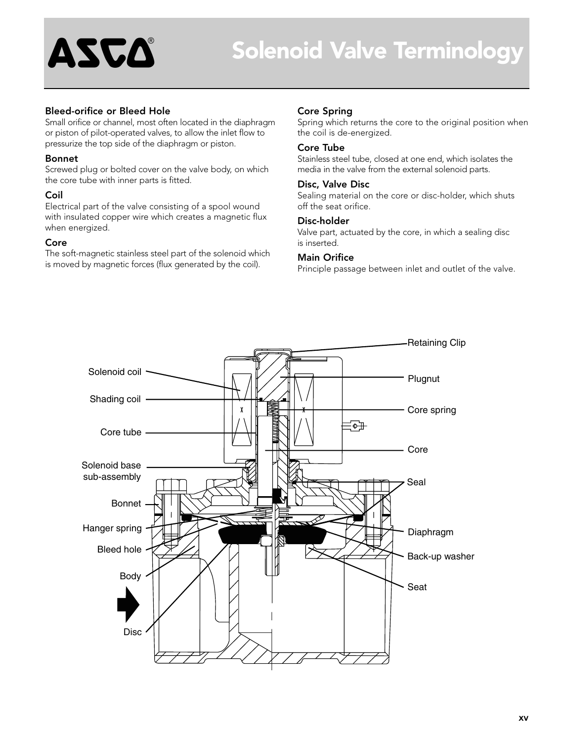## **ASCA** Solenoid Valve Terminology

### Bleed-orifice or Bleed Hole

Small orifice or channel, most often located in the diaphragm or piston of pilot-operated valves, to allow the inlet flow to pressurize the top side of the diaphragm or piston.

#### Bonnet

Screwed plug or bolted cover on the valve body, on which the core tube with inner parts is fitted.

#### Coil

Electrical part of the valve consisting of a spool wound with insulated copper wire which creates a magnetic flux when energized.

#### Core

The soft-magnetic stainless steel part of the solenoid which is moved by magnetic forces (flux generated by the coil).

#### Core Spring

Spring which returns the core to the original position when the coil is de-energized.

#### Core Tube

Stainless steel tube, closed at one end, which isolates the media in the valve from the external solenoid parts.

#### Disc, Valve Disc

Sealing material on the core or disc-holder, which shuts off the seat orifice.

#### Disc-holder

Valve part, actuated by the core, in which a sealing disc is inserted.

#### Main Orifice

Principle passage between inlet and outlet of the valve.